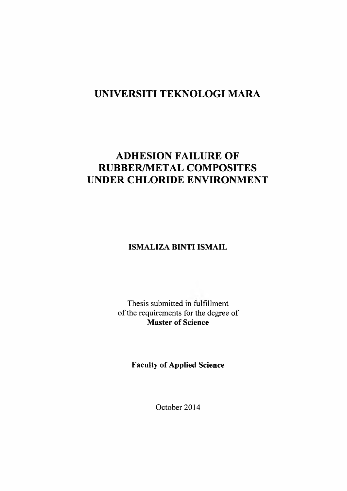## **UNIVERSITI TEKNOLOGI MARA**

# **ADHESION FAILURE OF RUBBER/METAL COMPOSITES UNDER CHLORIDE ENVIRONMENT**

**ISMALIZA BINTI ISMAIL**

Thesis submitted in fulfillment of the requirements for the degree of **Master of Science**

**Faculty of Applied Science**

October 2014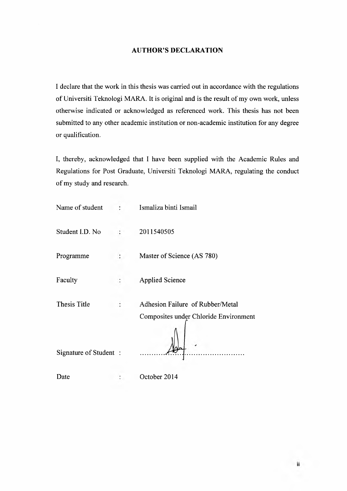### **AUTHOR'S DECLARATION**

I declare that the work in this thesis was carried out in accordance with the regulations of Universiti Teknologi MARA. It is original and is the result of my own work, unless otherwise indicated or acknowledged as referenced work. This thesis has not been submitted to any other academic institution or non-academic institution for any degree or qualification.

I, thereby, acknowledged that I have been supplied with the Academic Rules and Regulations for Post Graduate, Universiti Teknologi MARA, regulating the conduct of my study and research.

| Name of student       | Ismaliza binti Ismail                                                     |
|-----------------------|---------------------------------------------------------------------------|
| Student I.D. No       | 2011540505                                                                |
| Programme             | Master of Science (AS 780)                                                |
| Faculty               | <b>Applied Science</b>                                                    |
| <b>Thesis Title</b>   | Adhesion Failure of Rubber/Metal<br>Composites under Chloride Environment |
| Signature of Student: |                                                                           |
| Date                  | October 2014                                                              |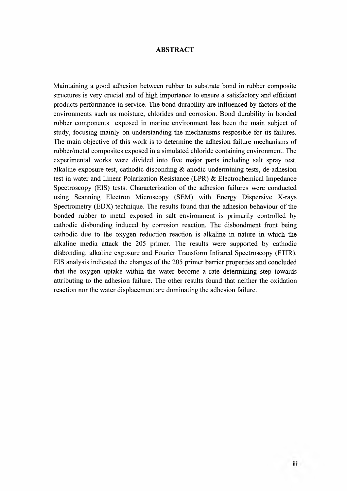#### **ABSTRACT**

Maintaining a good adhesion between rubber to substrate bond in rubber composite structures is very crucial and of high importance to ensure a satisfactory and efficient products performance in service. The bond durability are influenced by factors of the environments such as moisture, chlorides and corrosion. Bond durability in bonded rubber components exposed in marine environment has been the main subject of study, focusing mainly on understanding the mechanisms resposible for its failures. The main objective of this work is to determine the adhesion failure mechanisms of rubber/metal composites exposed in a simulated chloride containing environment. The experimental works were divided into five major parts including salt spray test, alkaline exposure test, cathodic disbonding  $\&$  anodic undermining tests, de-adhesion test in water and Linear Polarization Resistance (LPR) & Electrochemical Impedance Spectroscopy (EIS) tests. Characterization of the adhesion failures were conducted using Scanning Electron Microscopy (SEM) with Energy Dispersive X-rays Spectrometry (EDX) technique. The results found that the adhesion behaviour of the bonded rubber to metal exposed in salt environment is primarily controlled by cathodic disbonding induced by corrosion reaction. The disbondment front being cathodic due to the oxygen reduction reaction is alkaline in nature in which the alkaline media attack the 205 primer. The results were supported by cathodic disbonding, alkaline exposure and Fourier Transform Infrared Spectroscopy (FTIR). EIS analysis indicated the changes of the 205 primer barrier properties and concluded that the oxygen uptake within the water become a rate determining step towards attributing to the adhesion failure. The other results found that neither the oxidation reaction nor the water displacement are dominating the adhesion failure.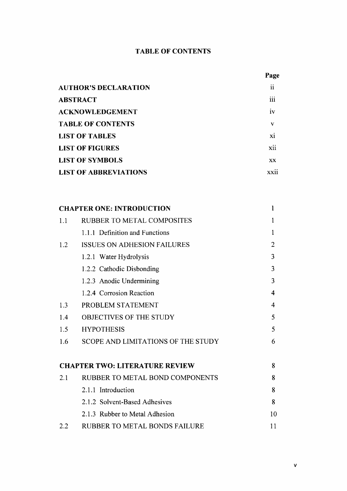### **TABLE OF CONTENTS**

| Page        |
|-------------|
| ii          |
| iii         |
| iv          |
| V           |
| xi          |
| xii         |
| <b>XX</b>   |
| <b>XX11</b> |
|             |

|                                       | <b>CHAPTER ONE: INTRODUCTION</b>     | 1              |
|---------------------------------------|--------------------------------------|----------------|
| 1.1                                   | <b>RUBBER TO METAL COMPOSITES</b>    | 1              |
|                                       | 1.1.1 Definition and Functions       | 1              |
| 1.2                                   | <b>ISSUES ON ADHESION FAILURES</b>   | $\overline{2}$ |
|                                       | 1.2.1 Water Hydrolysis               | 3              |
|                                       | 1.2.2 Cathodic Disbonding            | 3              |
|                                       | 1.2.3 Anodic Undermining             | 3              |
|                                       | 1.2.4 Corrosion Reaction             | 4              |
| 1.3                                   | PROBLEM STATEMENT                    | 4              |
| 1.4                                   | <b>OBJECTIVES OF THE STUDY</b>       | 5              |
| 1.5                                   | <b>HYPOTHESIS</b>                    | 5              |
| 1.6                                   | SCOPE AND LIMITATIONS OF THE STUDY   | 6              |
|                                       |                                      |                |
| <b>CHAPTER TWO: LITERATURE REVIEW</b> |                                      | 8              |
| 2.1                                   | RUBBER TO METAL BOND COMPONENTS      | 8              |
|                                       | 2.1.1 Introduction                   | 8              |
|                                       | 2.1.2 Solvent-Based Adhesives        | 8              |
|                                       | 2.1.3 Rubber to Metal Adhesion       | 10             |
| 2.2                                   | <b>RUBBER TO METAL BONDS FAILURE</b> | 11             |